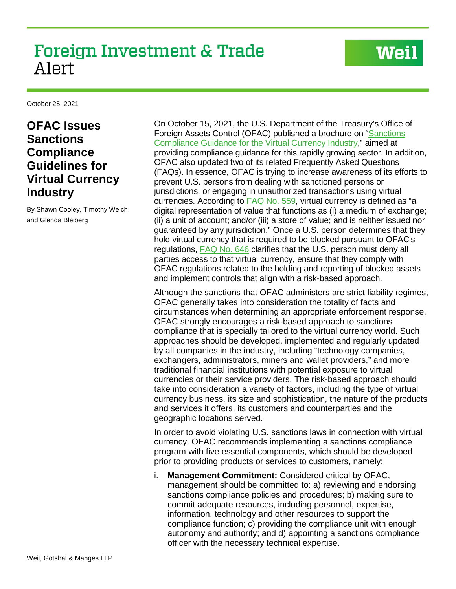## Foreign Investment & Trade Alert

Weil

October 25, 2021

## **OFAC Issues Sanctions Compliance Guidelines for Virtual Currency Industry**

By Shawn Cooley, Timothy Welch and Glenda Bleiberg

On October 15, 2021, the U.S. Department of the Treasury's Office of Foreign Assets Control (OFAC) published a brochure on ["Sanctions](https://home.treasury.gov/system/files/126/virtual_currency_guidance_brochure.pdf)  [Compliance Guidance for the Virtual Currency Industry,](https://home.treasury.gov/system/files/126/virtual_currency_guidance_brochure.pdf)" aimed at providing compliance guidance for this rapidly growing sector. In addition, OFAC also updated two of its related Frequently Asked Questions (FAQs). In essence, OFAC is trying to increase awareness of its efforts to prevent U.S. persons from dealing with sanctioned persons or jurisdictions, or engaging in unauthorized transactions using virtual currencies. According to [FAQ No. 559,](https://home.treasury.gov/policy-issues/financial-sanctions/faqs/559) virtual currency is defined as "a digital representation of value that functions as (i) a medium of exchange; (ii) a unit of account; and/or (iii) a store of value; and is neither issued nor guaranteed by any jurisdiction." Once a U.S. person determines that they hold virtual currency that is required to be blocked pursuant to OFAC's regulations, **FAQ No. 646** clarifies that the U.S. person must deny all parties access to that virtual currency, ensure that they comply with OFAC regulations related to the holding and reporting of blocked assets and implement controls that align with a risk-based approach.

Although the sanctions that OFAC administers are strict liability regimes, OFAC generally takes into consideration the totality of facts and circumstances when determining an appropriate enforcement response. OFAC strongly encourages a risk-based approach to sanctions compliance that is specially tailored to the virtual currency world. Such approaches should be developed, implemented and regularly updated by all companies in the industry, including "technology companies, exchangers, administrators, miners and wallet providers," and more traditional financial institutions with potential exposure to virtual currencies or their service providers. The risk-based approach should take into consideration a variety of factors, including the type of virtual currency business, its size and sophistication, the nature of the products and services it offers, its customers and counterparties and the geographic locations served.

In order to avoid violating U.S. sanctions laws in connection with virtual currency, OFAC recommends implementing a sanctions compliance program with five essential components, which should be developed prior to providing products or services to customers, namely:

i. **Management Commitment:** Considered critical by OFAC, management should be committed to: a) reviewing and endorsing sanctions compliance policies and procedures; b) making sure to commit adequate resources, including personnel, expertise, information, technology and other resources to support the compliance function; c) providing the compliance unit with enough autonomy and authority; and d) appointing a sanctions compliance officer with the necessary technical expertise.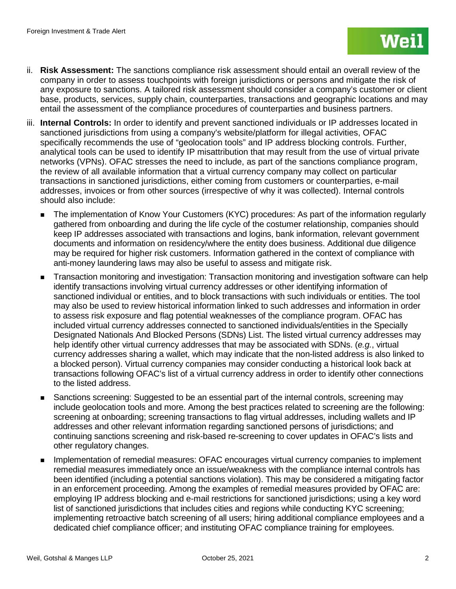- ii. **Risk Assessment:** The sanctions compliance risk assessment should entail an overall review of the company in order to assess touchpoints with foreign jurisdictions or persons and mitigate the risk of any exposure to sanctions. A tailored risk assessment should consider a company's customer or client base, products, services, supply chain, counterparties, transactions and geographic locations and may entail the assessment of the compliance procedures of counterparties and business partners.
- iii. **Internal Controls:** In order to identify and prevent sanctioned individuals or IP addresses located in sanctioned jurisdictions from using a company's website/platform for illegal activities, OFAC specifically recommends the use of "geolocation tools" and IP address blocking controls. Further, analytical tools can be used to identify IP misattribution that may result from the use of virtual private networks (VPNs). OFAC stresses the need to include, as part of the sanctions compliance program, the review of all available information that a virtual currency company may collect on particular transactions in sanctioned jurisdictions, either coming from customers or counterparties, e-mail addresses, invoices or from other sources (irrespective of why it was collected). Internal controls should also include:
	- The implementation of Know Your Customers (KYC) procedures: As part of the information regularly gathered from onboarding and during the life cycle of the costumer relationship, companies should keep IP addresses associated with transactions and logins, bank information, relevant government documents and information on residency/where the entity does business. Additional due diligence may be required for higher risk customers. Information gathered in the context of compliance with anti-money laundering laws may also be useful to assess and mitigate risk.
	- Transaction monitoring and investigation: Transaction monitoring and investigation software can help identify transactions involving virtual currency addresses or other identifying information of sanctioned individual or entities, and to block transactions with such individuals or entities. The tool may also be used to review historical information linked to such addresses and information in order to assess risk exposure and flag potential weaknesses of the compliance program. OFAC has included virtual currency addresses connected to sanctioned individuals/entities in the Specially Designated Nationals And Blocked Persons (SDNs) List. The listed virtual currency addresses may help identify other virtual currency addresses that may be associated with SDNs. (*e.g.*, virtual currency addresses sharing a wallet, which may indicate that the non-listed address is also linked to a blocked person). Virtual currency companies may consider conducting a historical look back at transactions following OFAC's list of a virtual currency address in order to identify other connections to the listed address.
	- Sanctions screening: Suggested to be an essential part of the internal controls, screening may include geolocation tools and more. Among the best practices related to screening are the following: screening at onboarding; screening transactions to flag virtual addresses, including wallets and IP addresses and other relevant information regarding sanctioned persons of jurisdictions; and continuing sanctions screening and risk-based re-screening to cover updates in OFAC's lists and other regulatory changes.
	- Implementation of remedial measures: OFAC encourages virtual currency companies to implement remedial measures immediately once an issue/weakness with the compliance internal controls has been identified (including a potential sanctions violation). This may be considered a mitigating factor in an enforcement proceeding. Among the examples of remedial measures provided by OFAC are: employing IP address blocking and e-mail restrictions for sanctioned jurisdictions; using a key word list of sanctioned jurisdictions that includes cities and regions while conducting KYC screening; implementing retroactive batch screening of all users; hiring additional compliance employees and a dedicated chief compliance officer; and instituting OFAC compliance training for employees.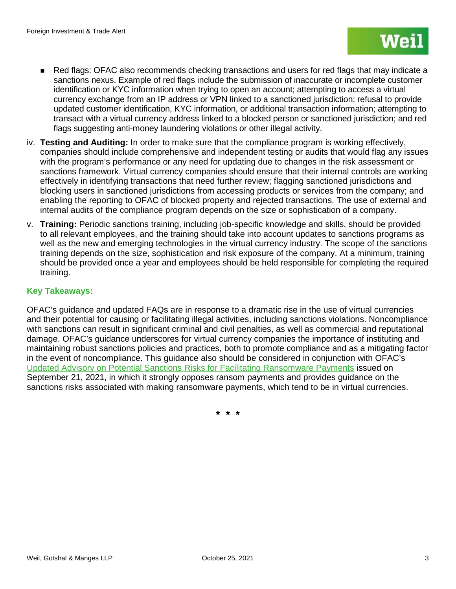- Red flags: OFAC also recommends checking transactions and users for red flags that may indicate a sanctions nexus. Example of red flags include the submission of inaccurate or incomplete customer identification or KYC information when trying to open an account; attempting to access a virtual currency exchange from an IP address or VPN linked to a sanctioned jurisdiction; refusal to provide updated customer identification, KYC information, or additional transaction information; attempting to transact with a virtual currency address linked to a blocked person or sanctioned jurisdiction; and red flags suggesting anti-money laundering violations or other illegal activity.
- iv. **Testing and Auditing:** In order to make sure that the compliance program is working effectively, companies should include comprehensive and independent testing or audits that would flag any issues with the program's performance or any need for updating due to changes in the risk assessment or sanctions framework. Virtual currency companies should ensure that their internal controls are working effectively in identifying transactions that need further review; flagging sanctioned jurisdictions and blocking users in sanctioned jurisdictions from accessing products or services from the company; and enabling the reporting to OFAC of blocked property and rejected transactions. The use of external and internal audits of the compliance program depends on the size or sophistication of a company.
- v. **Training:** Periodic sanctions training, including job-specific knowledge and skills, should be provided to all relevant employees, and the training should take into account updates to sanctions programs as well as the new and emerging technologies in the virtual currency industry. The scope of the sanctions training depends on the size, sophistication and risk exposure of the company. At a minimum, training should be provided once a year and employees should be held responsible for completing the required training.

## **Key Takeaways:**

OFAC's guidance and updated FAQs are in response to a dramatic rise in the use of virtual currencies and their potential for causing or facilitating illegal activities, including sanctions violations. Noncompliance with sanctions can result in significant criminal and civil penalties, as well as commercial and reputational damage. OFAC's guidance underscores for virtual currency companies the importance of instituting and maintaining robust sanctions policies and practices, both to promote compliance and as a mitigating factor in the event of noncompliance. This guidance also should be considered in conjunction with OFAC's [Updated Advisory on Potential Sanctions Risks for Facilitating Ransomware Payments](https://home.treasury.gov/system/files/126/ofac_ransomware_advisory.pdf) issued on September 21, 2021, in which it strongly opposes ransom payments and provides guidance on the sanctions risks associated with making ransomware payments, which tend to be in virtual currencies.

**\* \* \***